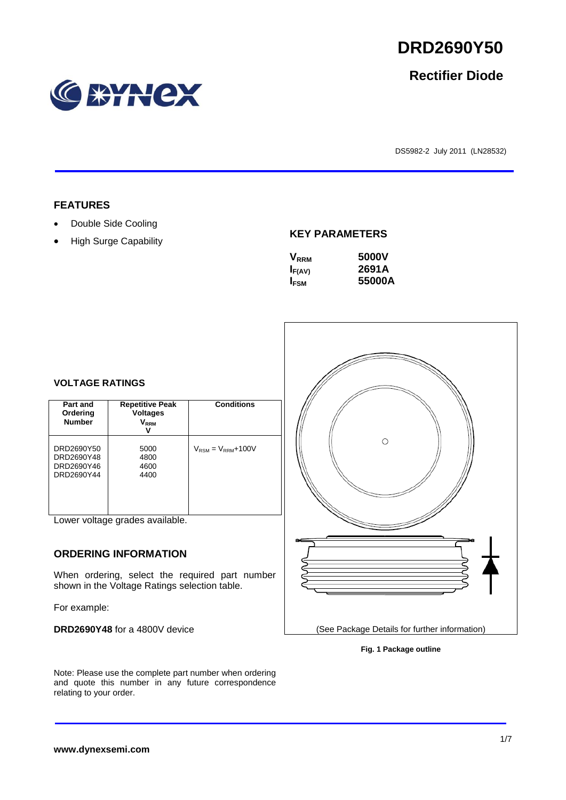relating to your order.

# **RYNCX**

### DS5982-2 July 2011 (LN28532)

• High Surge Capability

### **KEY PARAMETERS**

| <b>V</b> <sub>RRM</sub> | 5000V  |
|-------------------------|--------|
| $I_{F(AV)}$             | 2691A  |
| I <sub>FSM</sub>        | 55000A |
|                         |        |

### **VOLTAGE RATINGS**

| Part and<br>Ordering<br><b>Number</b>                | <b>Repetitive Peak</b><br><b>Voltages</b><br>$\mathsf{V}_\mathsf{RRM}$<br>ν | <b>Conditions</b>                        |
|------------------------------------------------------|-----------------------------------------------------------------------------|------------------------------------------|
| DRD2690Y50<br>DRD2690Y48<br>DRD2690Y46<br>DRD2690Y44 | 5000<br>4800<br>4600<br>4400                                                | $V_{\text{RSM}} = V_{\text{RRM}} + 100V$ |

Lower voltage grades available.

### **ORDERING INFORMATION**

When ordering, select the required part number shown in the Voltage Ratings selection table.

Note: Please use the complete part number when ordering and quote this number in any future correspondence

For example:

**DRD2690Y48** for a 4800V device

# $\circ$

(See Package Details for further information)

**Fig. 1 Package outline**



# **Rectifier Diode**

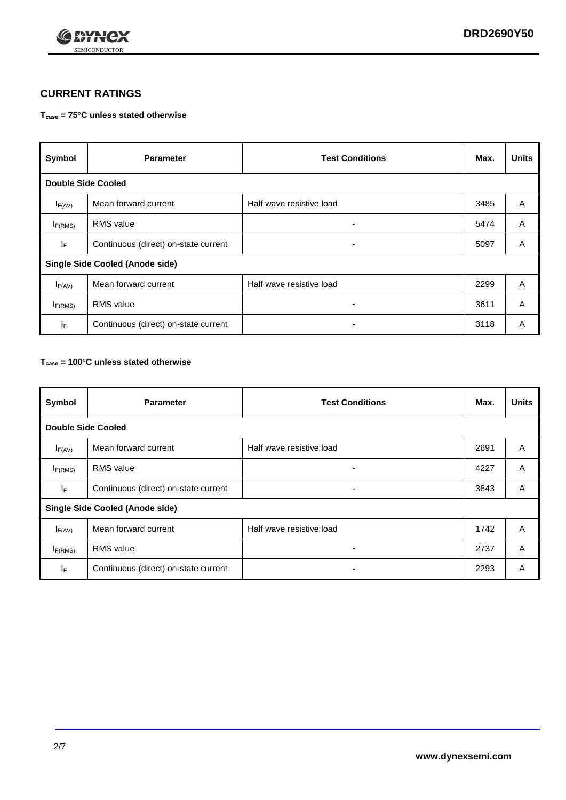

### **CURRENT RATINGS**

### **Tcase = 75°C unless stated otherwise**

| Symbol                                 | <b>Parameter</b>                     | <b>Test Conditions</b>   | Max. | <b>Units</b> |  |
|----------------------------------------|--------------------------------------|--------------------------|------|--------------|--|
| <b>Double Side Cooled</b>              |                                      |                          |      |              |  |
| $I_{F(AV)}$                            | Mean forward current                 | Half wave resistive load | 3485 | A            |  |
| $I_{F(RMS)}$                           | <b>RMS</b> value                     | ۰.                       | 5474 | A            |  |
| IF.                                    | Continuous (direct) on-state current | -                        | 5097 | A            |  |
| <b>Single Side Cooled (Anode side)</b> |                                      |                          |      |              |  |
| $I_{F(AV)}$                            | Mean forward current                 | Half wave resistive load | 2299 | A            |  |
| I <sub>F(RMS)</sub>                    | <b>RMS</b> value                     |                          | 3611 | A            |  |
| IF.                                    | Continuous (direct) on-state current |                          | 3118 | A            |  |

### **Tcase = 100°C unless stated otherwise**

| Symbol                                 | <b>Parameter</b>                     | <b>Test Conditions</b>   | Max. | <b>Units</b> |  |  |
|----------------------------------------|--------------------------------------|--------------------------|------|--------------|--|--|
|                                        | <b>Double Side Cooled</b>            |                          |      |              |  |  |
| $I_{F(AV)}$                            | Mean forward current                 | Half wave resistive load | 2691 | A            |  |  |
| $I_{F(RMS)}$                           | <b>RMS</b> value                     | ٠                        | 4227 | A            |  |  |
| IF.                                    | Continuous (direct) on-state current | ۰                        | 3843 | A            |  |  |
| <b>Single Side Cooled (Anode side)</b> |                                      |                          |      |              |  |  |
| $I_{F(AV)}$                            | Mean forward current                 | Half wave resistive load | 1742 | A            |  |  |
| $I_{F(RMS)}$                           | <b>RMS</b> value                     |                          | 2737 | A            |  |  |
| IF.                                    | Continuous (direct) on-state current |                          | 2293 | A            |  |  |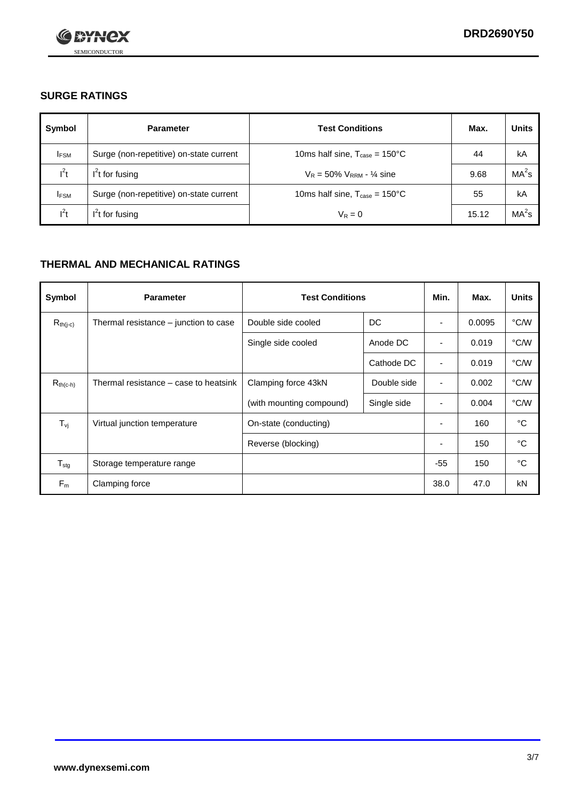

### **SURGE RATINGS**

| Symbol      | <b>Parameter</b>                        | <b>Test Conditions</b>                            | Max.  | <b>Units</b>      |
|-------------|-----------------------------------------|---------------------------------------------------|-------|-------------------|
| <b>IFSM</b> | Surge (non-repetitive) on-state current | 10ms half sine, $T_{\text{case}} = 150^{\circ}$ C | 44    | kA                |
| $I^2t$      | $I2t$ for fusing                        | $V_R = 50\% V_{RRM} - \frac{1}{4}$ sine           | 9.68  | MA <sup>2</sup> S |
| <b>IFSM</b> | Surge (non-repetitive) on-state current | 10ms half sine, $T_{\text{case}} = 150^{\circ}$ C | 55    | kA                |
| $l^2t$      | $I2t$ for fusing                        | $V_R = 0$                                         | 15.12 | MA <sup>2</sup> s |

### **THERMAL AND MECHANICAL RATINGS**

| Symbol            | <b>Parameter</b>                      | <b>Test Conditions</b>   |             | Min.                     | Max.   | <b>Units</b> |
|-------------------|---------------------------------------|--------------------------|-------------|--------------------------|--------|--------------|
| $R_{th(j-c)}$     | Thermal resistance – junction to case | Double side cooled       | DC          | ٠                        | 0.0095 | °C/W         |
|                   |                                       | Single side cooled       | Anode DC    | $\overline{\phantom{a}}$ | 0.019  | °C/W         |
|                   |                                       |                          | Cathode DC  | ٠                        | 0.019  | °C/W         |
| $R_{th(c-h)}$     | Thermal resistance – case to heatsink | Clamping force 43kN      | Double side | $\blacksquare$           | 0.002  | °C/W         |
|                   |                                       | (with mounting compound) | Single side | ٠                        | 0.004  | °C/W         |
| $T_{\mathsf{vj}}$ | Virtual junction temperature          | On-state (conducting)    |             | $\overline{\phantom{a}}$ | 160    | °C           |
|                   |                                       | Reverse (blocking)       |             | ٠                        | 150    | °C           |
| $T_{\text{stg}}$  | Storage temperature range             |                          |             | $-55$                    | 150    | °C           |
| $F_m$             | Clamping force                        |                          |             | 38.0                     | 47.0   | kN           |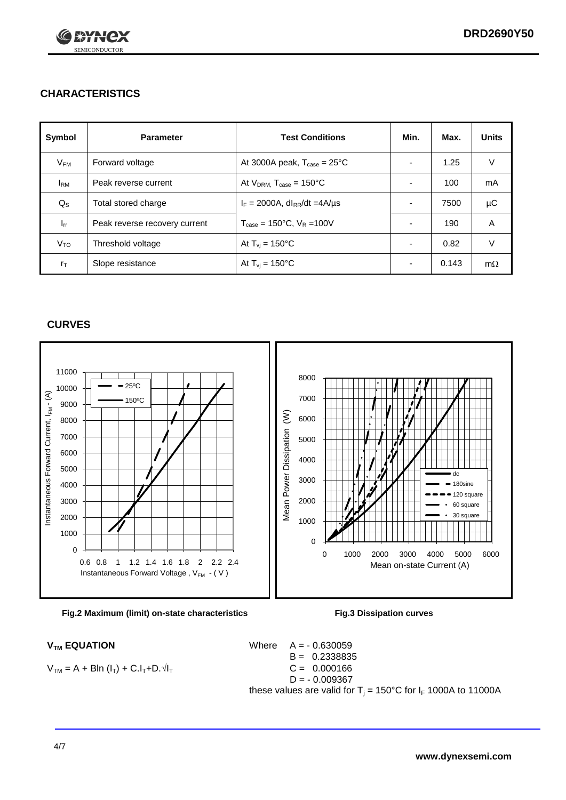

### **CHARACTERISTICS**

| Symbol                 | <b>Parameter</b>              | <b>Test Conditions</b>                          | Min.                     | Max.  | <b>Units</b> |
|------------------------|-------------------------------|-------------------------------------------------|--------------------------|-------|--------------|
| $V_{FM}$               | Forward voltage               | At 3000A peak, $T_{\text{case}} = 25^{\circ}C$  | $\overline{\phantom{0}}$ | 1.25  | V            |
| <b>I</b> <sub>RM</sub> | Peak reverse current          | At $V_{DRM}$ , $T_{case} = 150^{\circ}C$        | $\overline{\phantom{0}}$ | 100   | mA           |
| $Q_{\rm S}$            | Total stored charge           | $I_F = 2000A$ , dl <sub>RR</sub> /dt =4A/us     |                          | 7500  | μC           |
| $I_{rr}$               | Peak reverse recovery current | $T_{\text{case}} = 150^{\circ}$ C, $V_R = 100V$ | $\overline{\phantom{0}}$ | 190   | A            |
| V <sub>TO</sub>        | Threshold voltage             | At $T_{vi}$ = 150 $^{\circ}$ C                  | $\overline{\phantom{0}}$ | 0.82  | $\vee$       |
| $r_{\text{T}}$         | Slope resistance              | At $T_{\rm{vj}} = 150^{\circ}$ C                | ٠                        | 0.143 | $m\Omega$    |

### **CURVES**





$$
V_{TM} = A + B\ln (I_T) + C.I_T + D.\sqrt{I_T}
$$

 $V_{TM}$  **EQUATION** Where  $A = -0.630059$ B = 0.2338835  $C = 0.000166$  $D = -0.009367$ these values are valid for  $T_i = 150^{\circ}$ C for  $I_F$  1000A to 11000A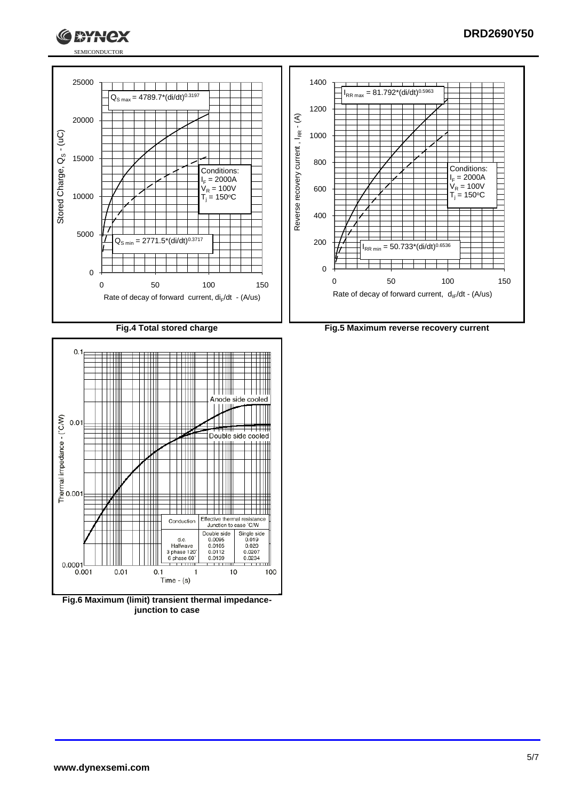





**Fig.6 Maximum (limit) transient thermal impedancejunction to case**

 $0.1$ 

<del>. . . . . . .</del>

Time  $-$  (s)

 $\mathbf{1}$ 

 $\overline{1}$ 

 $10$ 

 $\overline{ }$ 

100

 $0.0001$ <br> $0.001$ 

 $0.01$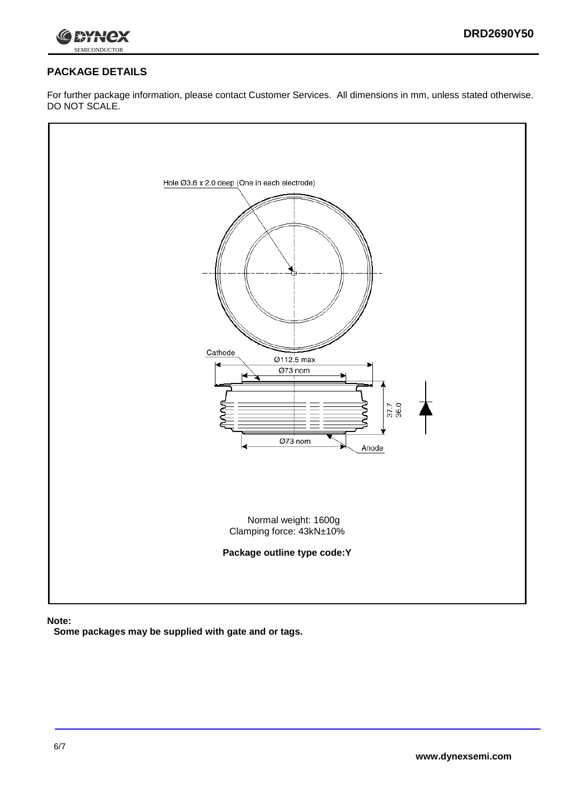



## **PACKAGE DETAILS**

For further package information, please contact Customer Services. All dimensions in mm, unless stated otherwise. DO NOT SCALE.



**Note:**

**Some packages may be supplied with gate and or tags.**